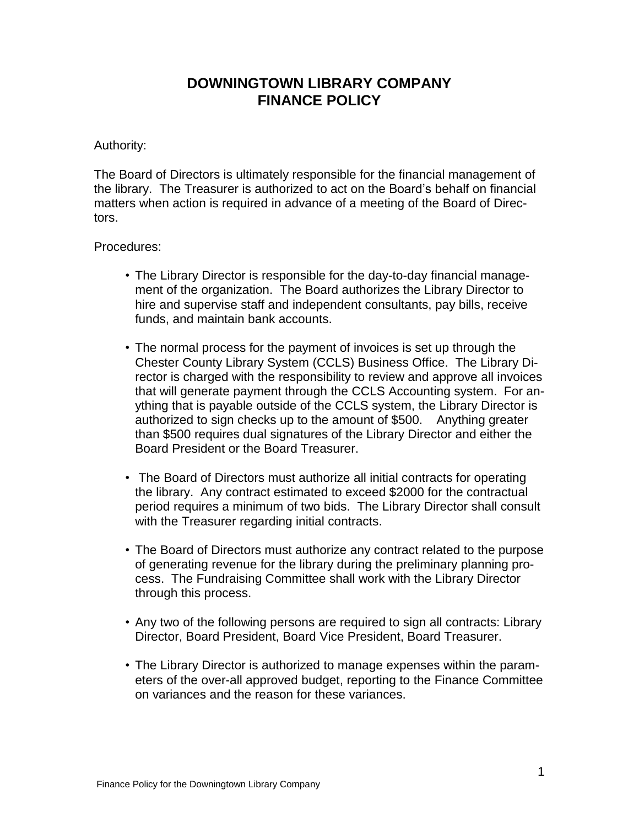## **DOWNINGTOWN LIBRARY COMPANY FINANCE POLICY**

## Authority:

The Board of Directors is ultimately responsible for the financial management of the library. The Treasurer is authorized to act on the Board's behalf on financial matters when action is required in advance of a meeting of the Board of Directors.

## Procedures:

- The Library Director is responsible for the day-to-day financial management of the organization. The Board authorizes the Library Director to hire and supervise staff and independent consultants, pay bills, receive funds, and maintain bank accounts.
- The normal process for the payment of invoices is set up through the Chester County Library System (CCLS) Business Office. The Library Director is charged with the responsibility to review and approve all invoices that will generate payment through the CCLS Accounting system. For anything that is payable outside of the CCLS system, the Library Director is authorized to sign checks up to the amount of \$500. Anything greater than \$500 requires dual signatures of the Library Director and either the Board President or the Board Treasurer.
- The Board of Directors must authorize all initial contracts for operating the library. Any contract estimated to exceed \$2000 for the contractual period requires a minimum of two bids. The Library Director shall consult with the Treasurer regarding initial contracts.
- The Board of Directors must authorize any contract related to the purpose of generating revenue for the library during the preliminary planning process. The Fundraising Committee shall work with the Library Director through this process.
- Any two of the following persons are required to sign all contracts: Library Director, Board President, Board Vice President, Board Treasurer.
- The Library Director is authorized to manage expenses within the parameters of the over-all approved budget, reporting to the Finance Committee on variances and the reason for these variances.